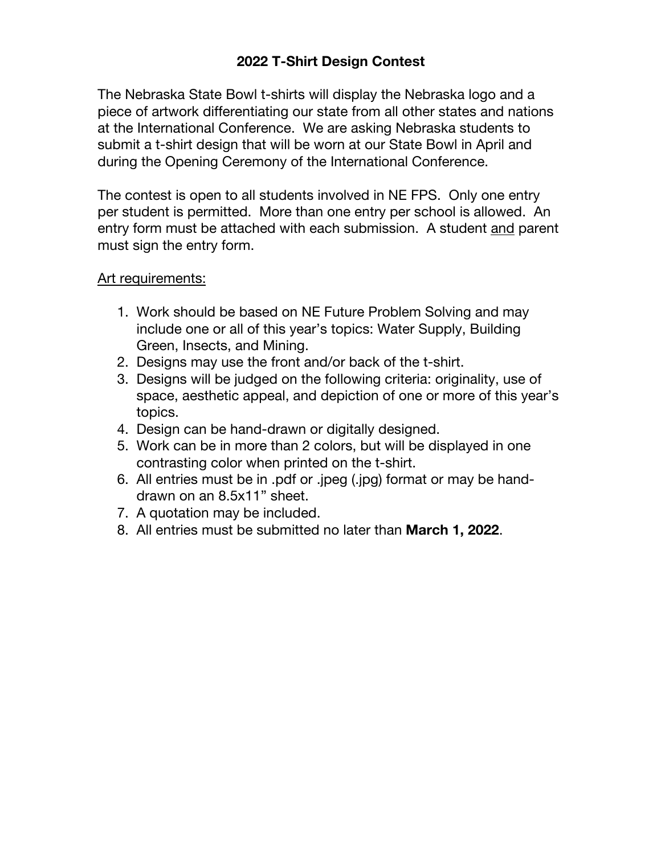## **2022 T-Shirt Design Contest**

The Nebraska State Bowl t-shirts will display the Nebraska logo and a piece of artwork differentiating our state from all other states and nations at the International Conference. We are asking Nebraska students to submit a t-shirt design that will be worn at our State Bowl in April and during the Opening Ceremony of the International Conference.

The contest is open to all students involved in NE FPS. Only one entry per student is permitted. More than one entry per school is allowed. An entry form must be attached with each submission. A student and parent must sign the entry form.

## Art requirements:

- 1. Work should be based on NE Future Problem Solving and may include one or all of this year's topics: Water Supply, Building Green, Insects, and Mining.
- 2. Designs may use the front and/or back of the t-shirt.
- 3. Designs will be judged on the following criteria: originality, use of space, aesthetic appeal, and depiction of one or more of this year's topics.
- 4. Design can be hand-drawn or digitally designed.
- 5. Work can be in more than 2 colors, but will be displayed in one contrasting color when printed on the t-shirt.
- 6. All entries must be in .pdf or .jpeg (.jpg) format or may be handdrawn on an 8.5x11" sheet.
- 7. A quotation may be included.
- 8. All entries must be submitted no later than **March 1, 2022**.